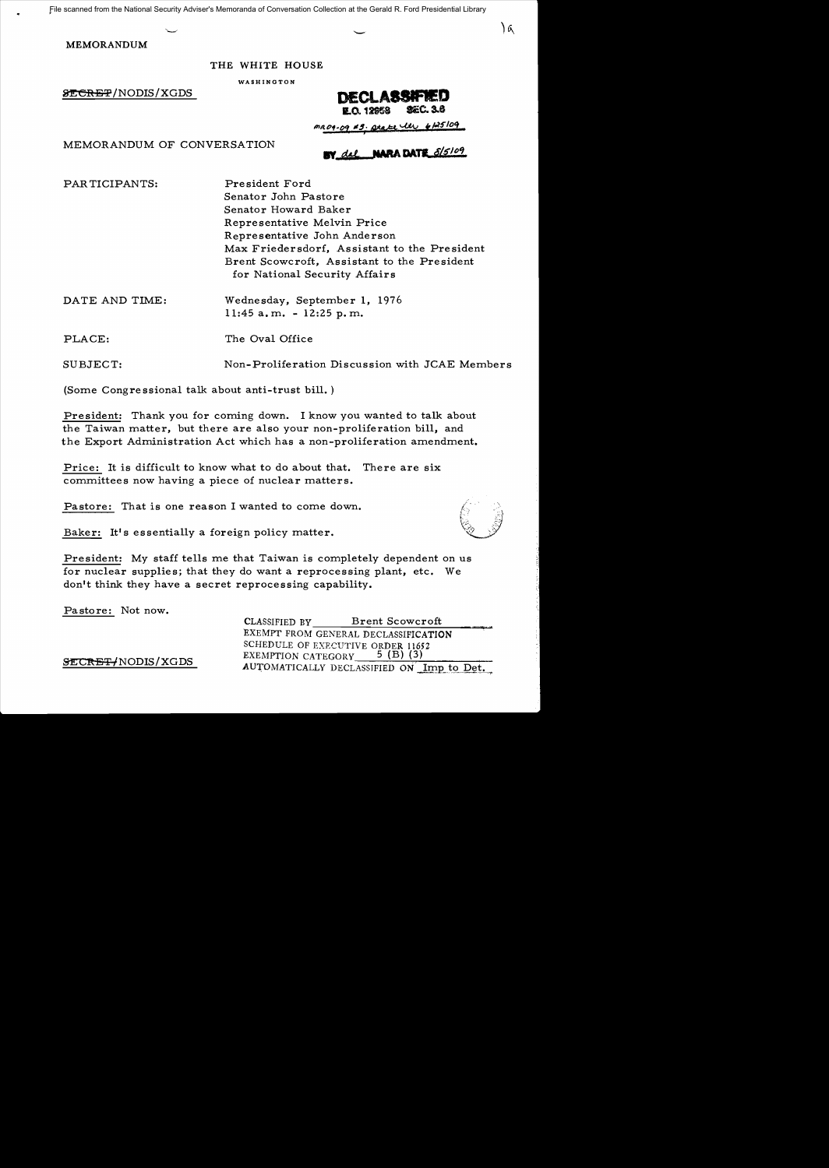File scanned from the National Security Adviser's Memoranda of Conversation Collection at the Gerald R. Ford Presidential Library

MEMORANDUM

THE WHITE HOUSE

WASHINGTON

 $B$ <del>ECRET</del>/NODIS/XGDS

**LO. 12958 SEC. 3.8** 

 $mROq$ -09  $#3.$  Atate lev  $6135109$ •

MEMORANDUM OF CONVERSATION

**BY del NARA DATE 5/5109** 

PARTICIPANTS: President Ford

Senator John Pastore Senator Howard Baker Representative Melvin Price Representative John Anderson Max Friedersdorf, Assistant to the President Brent Scowcroft, Assistant to the President for National Security Affairs

| DATE AND TIME: | Wednesday, September 1, 1976<br>$11:45$ a.m. - 12:25 p.m. |
|----------------|-----------------------------------------------------------|
|                |                                                           |

PLACE: The Oval Office

SUBJECT: Non-Proliferation Discussion with JCAE Members

(Some Congre ssional talk about anti-trust bill. )

President: Thank you for coming down. I know you wanted to talk about the Taiwan matter, but there are also your non-proliferation bill, and the Export Administration Act which has a non-proliferation amendment.

Price: It is difficult to know what to do about that. There are six committees now having a piece of nuclear matters.

Pastore: That is one reason I wanted to come down.

Baker: It's essentially a foreign policy matter.

President: My staff tells me that Taiwan is completely dependent on us for nuclear supplies; that they do want a reprocessing plant, etc. We don't think they have a secret reprocessing capability.

Pastore: Not now.

CLASSIFIED BY Brent Scowcroft EXEMPT FROM GENERAL DECLASSIFICATION SCHEDULE OF EXECUTIVE ORDER 11652<br>EXEMPTION CATEGORY 5 (B) (3) EXEMPTION CATEGORY 5 (B) (3)<br>AUTOMATICALLY DECLASSIFIED ON Imp to Det.

) ል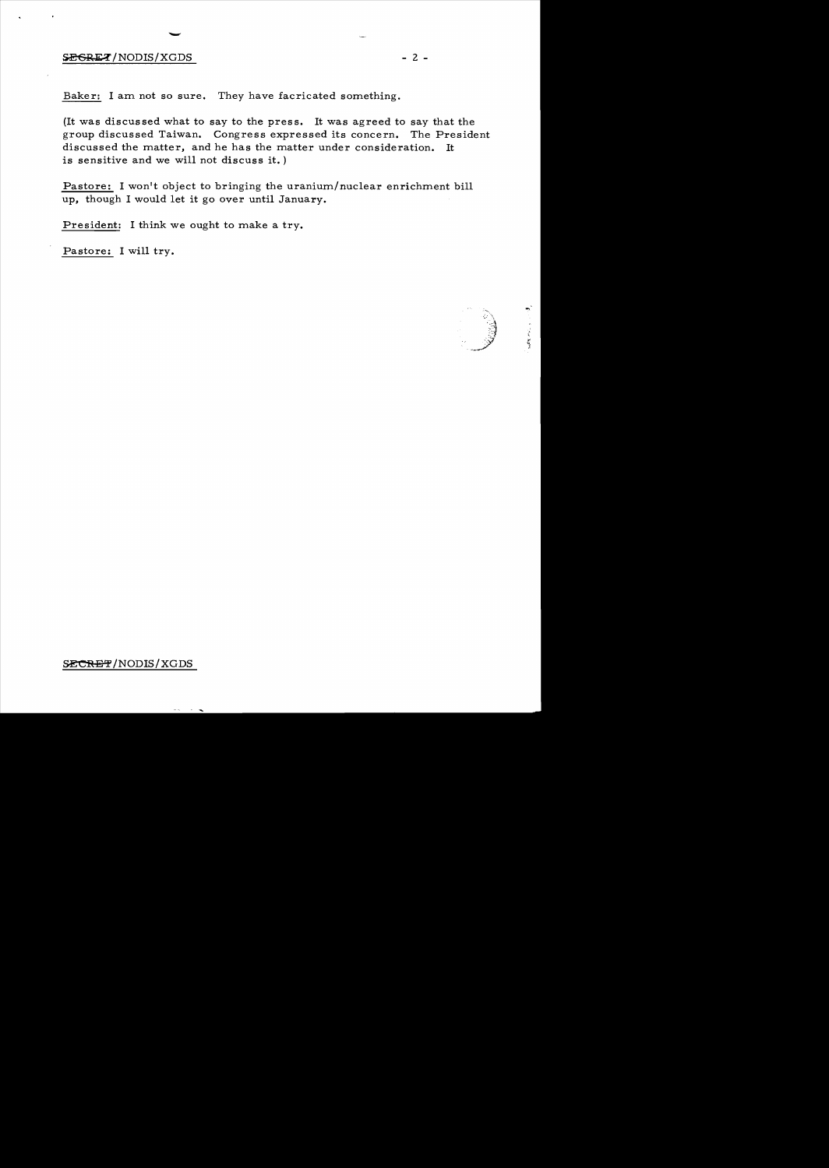# s;B6R);;;~ /NODIS/XGDS - 2

Baker: I am not so sure. They have facricated something.

(It was discus sed what to say to the pres s. It was agreed to say that the group discussed Taiwan. Congress expressed its concern. The President discussed the matter, and he has the matter under consideration. It is sensitive and we will not discuss it. )

Pastore: I won't object to bringing the uranium/nuclear enrichment bill up, though I would let it go over until January.

President: I think we ought to make a try.

Pastore: I will try.



a contant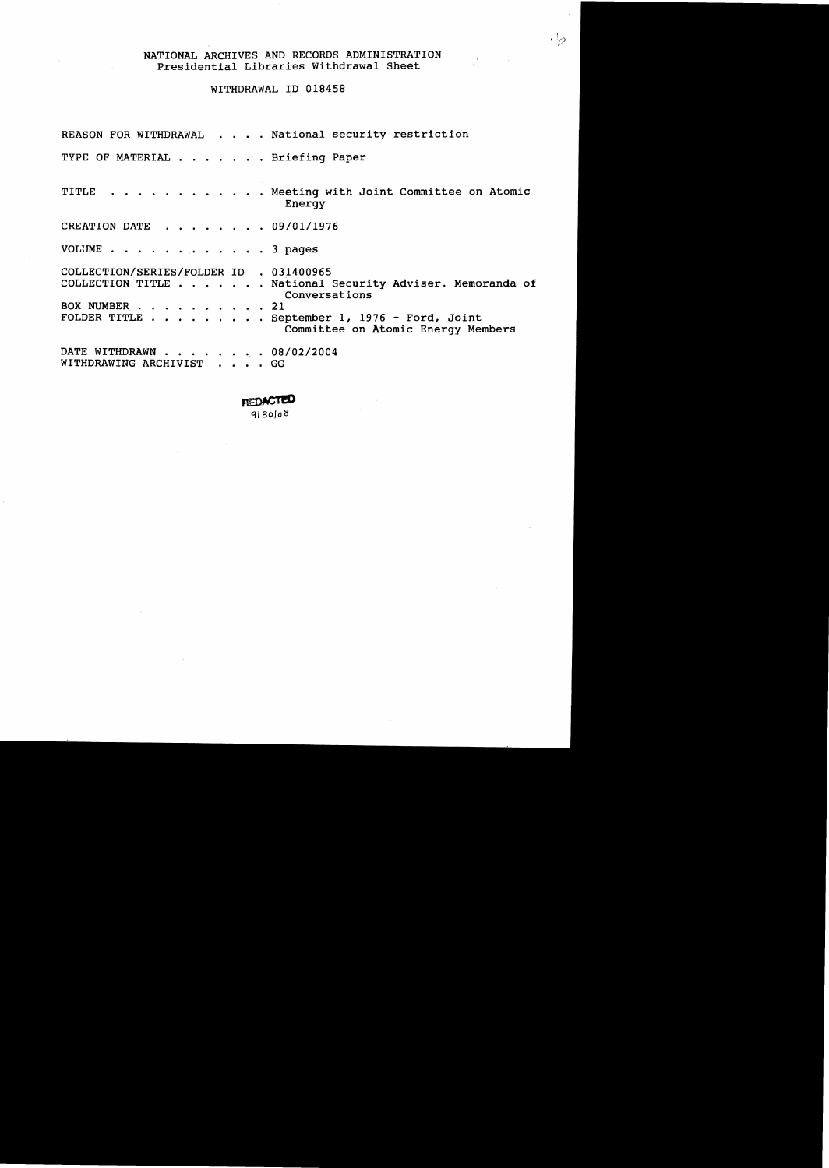#### NATIONAL ARCHIVES AND RECORDS ADMINISTRATION Presidential Libraries Withdrawal Sheet

 $\frac{1}{2}$ 

### WITHDRAWAL ID 018458

REASON FOR WITHDRAWAL . . . . National security restriction TYPE OF MATERIAL . . . . . . Briefing Paper TITLE . . . . . . . . . . . Meeting with Joint Committee on Atomic Energy CREATION DATE . . . . . . 09/01/1976 VOLUME . . . . . . . . . . . . 3 pages COLLECTION/SERIES/FOLDER ID . 031400965 COLLECTION TITLE ...•... National Security Adviser. Memoranda of Conversations BOX NUMBER . . . . . . . . . 21 FOLDER TITLE . . . . . . . . September 1, 1976 - Ford, Joint Committee on Atomic Energy Members DATE WITHDRAWN . . . . . . . 08/02/2004 WITHDRAWING ARCHIVIST . . . . GG

> **PREDACTED**  $913008$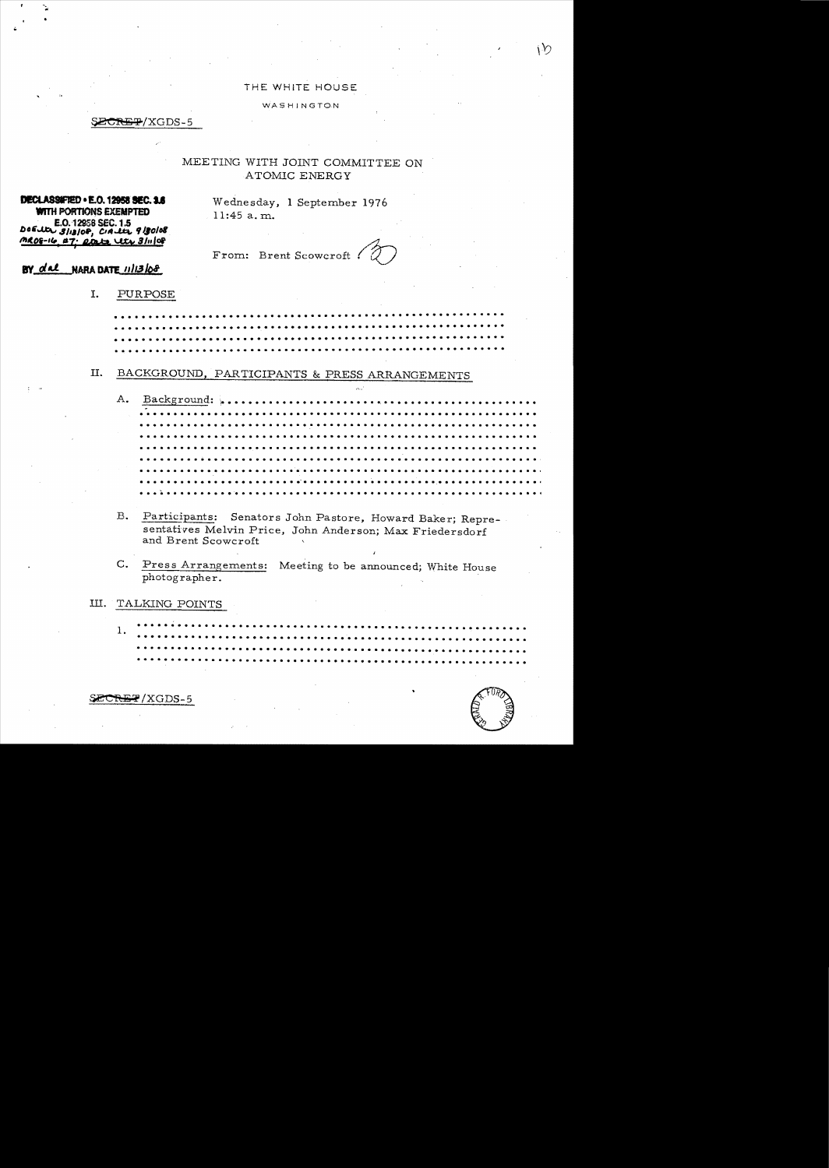# THE WHITE HOUSE

WASHINGTON

XGDS-5

|  |               | MEETING WITH JOINT COMMITTEE ON |  |
|--|---------------|---------------------------------|--|
|  | ATOMIC ENERGY |                                 |  |

DECLASSIFIED . E.O. 12958 SEC. 3.6 **WITH PORTIONS EXEMPTED** Docutr 3/13/08, CIA 15, 9/30/08 MROS-16 #7: parts Uty 3/11/08

Wednesday, 1 September 1976  $11:45 a.m.$ 

From: Brent Scowcroft

# BY dal NARA DATE 11/13/08

PURPOSE T.

II. BACKGROUND, PARTICIPANTS & PRESS ARRANGEMENTS

 $A_{\bullet}$ Background:

- Participants: Senators John Pastore, Howard Baker; Repre- $B.$ sentatives Melvin Price, John Anderson; Max Friedersdorf and Brent Scowcroft
- $C_{\star}$ Press Arrangements: Meeting to be announced; White House photographer.

III. TALKING POINTS

1.



١Ŋ

CREP/XGDS-5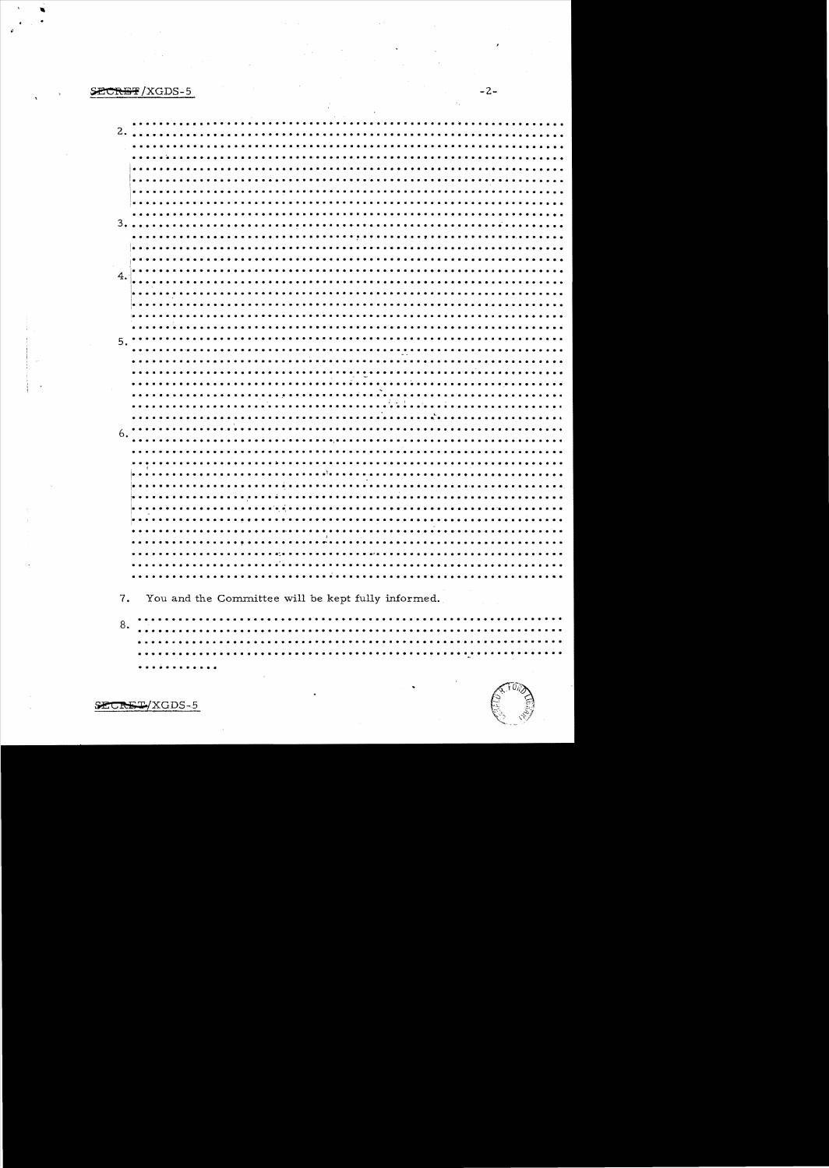# SECRET/XGDS-5

 $\sim$   $\sim$ 

 $\label{eq:2.1} \frac{1}{2} \int_{\mathbb{R}^3} \left| \frac{d\mu}{d\mu} \right|^2 \, d\mu = \frac{1}{2} \int_{\mathbb{R}^3} \left| \frac{d\mu}{d\mu} \right|^2 \, d\mu = \frac{1}{2} \int_{\mathbb{R}^3} \left| \frac{d\mu}{d\mu} \right|^2 \, d\mu.$ 

| $\Delta \sim 100$                                                                      |  |
|----------------------------------------------------------------------------------------|--|
|                                                                                        |  |
|                                                                                        |  |
|                                                                                        |  |
|                                                                                        |  |
|                                                                                        |  |
|                                                                                        |  |
|                                                                                        |  |
|                                                                                        |  |
|                                                                                        |  |
|                                                                                        |  |
|                                                                                        |  |
|                                                                                        |  |
|                                                                                        |  |
|                                                                                        |  |
|                                                                                        |  |
|                                                                                        |  |
| 4.                                                                                     |  |
|                                                                                        |  |
|                                                                                        |  |
|                                                                                        |  |
|                                                                                        |  |
|                                                                                        |  |
| 5.                                                                                     |  |
|                                                                                        |  |
|                                                                                        |  |
|                                                                                        |  |
|                                                                                        |  |
|                                                                                        |  |
|                                                                                        |  |
|                                                                                        |  |
|                                                                                        |  |
|                                                                                        |  |
| 6.                                                                                     |  |
|                                                                                        |  |
|                                                                                        |  |
|                                                                                        |  |
|                                                                                        |  |
|                                                                                        |  |
|                                                                                        |  |
|                                                                                        |  |
|                                                                                        |  |
|                                                                                        |  |
|                                                                                        |  |
|                                                                                        |  |
|                                                                                        |  |
|                                                                                        |  |
|                                                                                        |  |
|                                                                                        |  |
|                                                                                        |  |
| 7.<br>You and the Committee will be kept fully informed.<br>$\mathcal{L}^{\text{max}}$ |  |
|                                                                                        |  |
| 8.                                                                                     |  |
|                                                                                        |  |
|                                                                                        |  |
|                                                                                        |  |
|                                                                                        |  |

 $\overline{a}$ 

 $\alpha$  ,  $\beta$  ,  $\alpha$ 

 $\hat{\mathcal{A}}$ 

 $\hat{\mathbf{r}}$ 

 $-2-$ 

 $\tilde{\mathcal{E}}_{\lambda}$ 

 $\frac{1}{2}$  .

 $\frac{1}{2} \sum_{i=1}^{n} \frac{1}{2} \sum_{j=1}^{n} \frac{1}{2} \sum_{j=1}^{n} \frac{1}{2} \sum_{j=1}^{n} \frac{1}{2} \sum_{j=1}^{n} \frac{1}{2} \sum_{j=1}^{n} \frac{1}{2} \sum_{j=1}^{n} \frac{1}{2} \sum_{j=1}^{n} \frac{1}{2} \sum_{j=1}^{n} \frac{1}{2} \sum_{j=1}^{n} \frac{1}{2} \sum_{j=1}^{n} \frac{1}{2} \sum_{j=1}^{n} \frac{1}{2} \sum_{j=1}^{n$ 



 $\sim$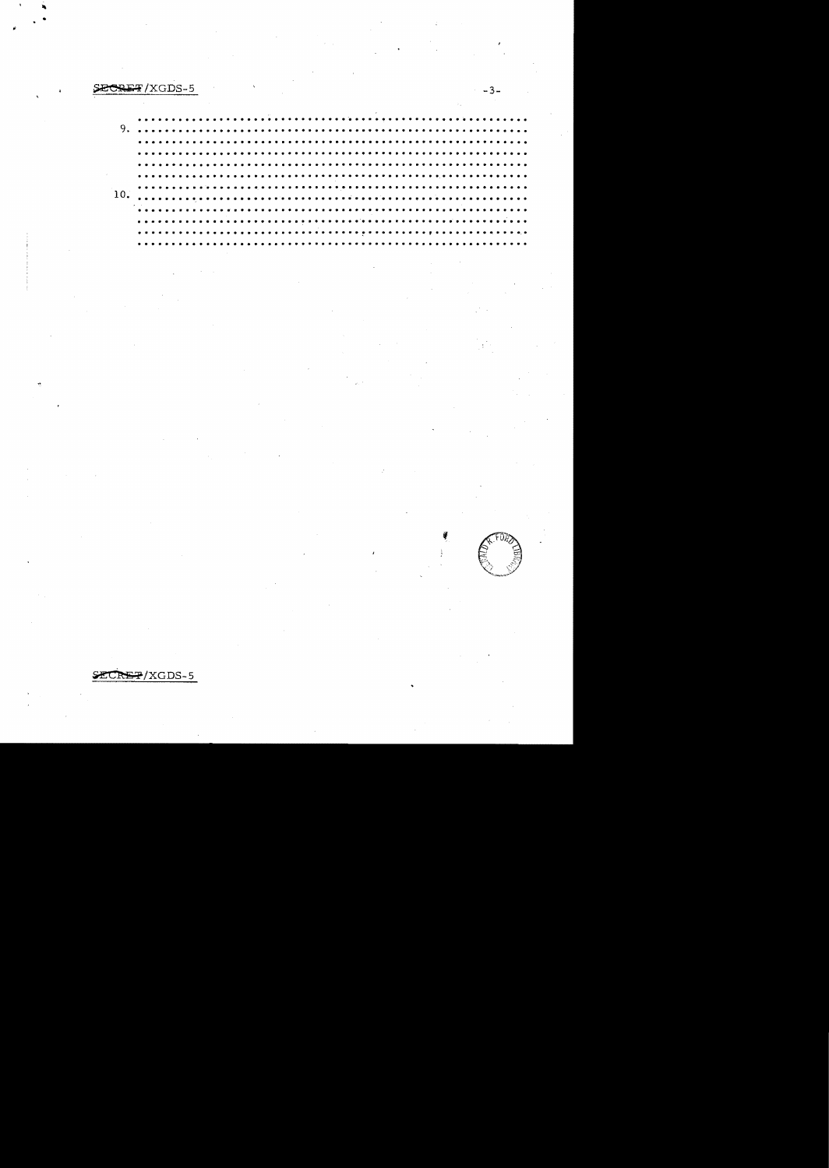# SECRET/XGDS-5

| 10.1 |  |  |  |  |  |  |  |  |  |  |  |  |  |  |  |  |  |  |  |  |  |  |  |  |  |  |  |  |  |  |  |
|------|--|--|--|--|--|--|--|--|--|--|--|--|--|--|--|--|--|--|--|--|--|--|--|--|--|--|--|--|--|--|--|
|      |  |  |  |  |  |  |  |  |  |  |  |  |  |  |  |  |  |  |  |  |  |  |  |  |  |  |  |  |  |  |  |
|      |  |  |  |  |  |  |  |  |  |  |  |  |  |  |  |  |  |  |  |  |  |  |  |  |  |  |  |  |  |  |  |
|      |  |  |  |  |  |  |  |  |  |  |  |  |  |  |  |  |  |  |  |  |  |  |  |  |  |  |  |  |  |  |  |
|      |  |  |  |  |  |  |  |  |  |  |  |  |  |  |  |  |  |  |  |  |  |  |  |  |  |  |  |  |  |  |  |
|      |  |  |  |  |  |  |  |  |  |  |  |  |  |  |  |  |  |  |  |  |  |  |  |  |  |  |  |  |  |  |  |

SECREP/XGDS-5



 $-3-$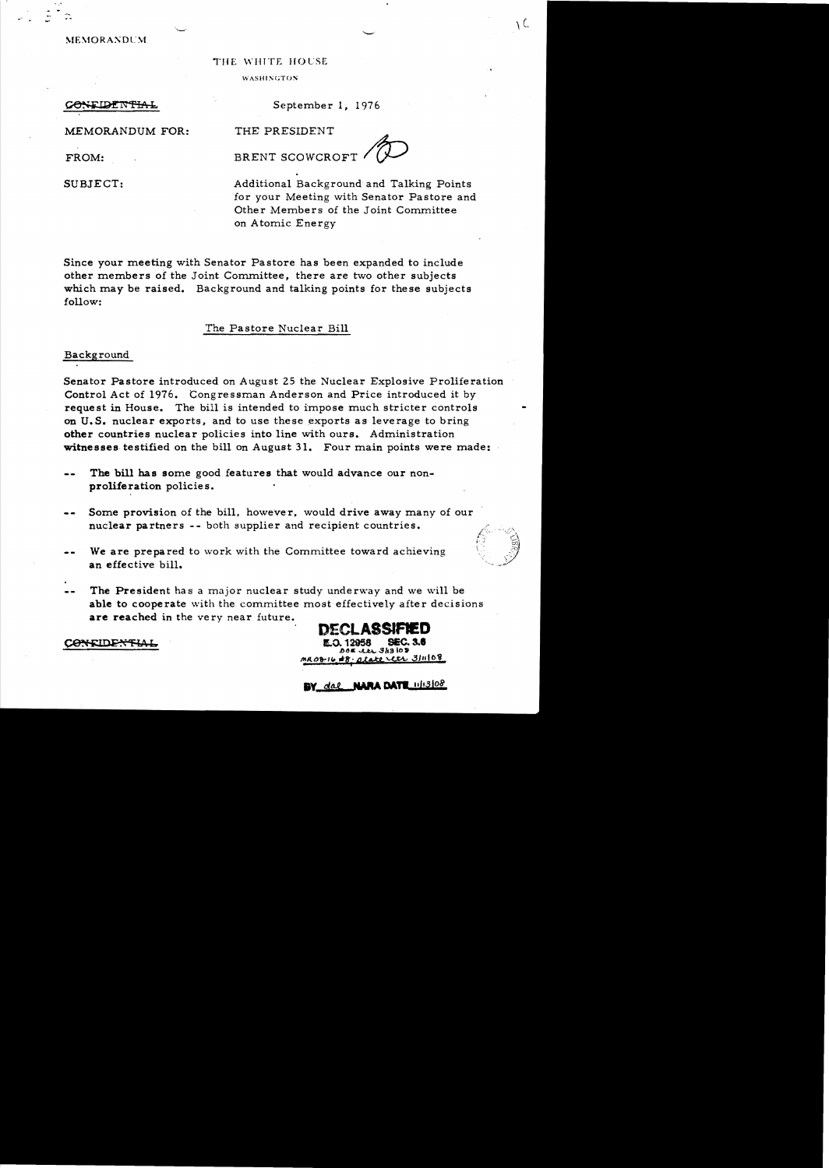#### MEMORANDUM

#### THE WHITE HOUSE

WASHINGTON

CONFIDENTIA

September 1, 1976

MEMORANDUM FOR: THE PRESIDENT

FROM: BRENT SCOWCROFT

SUBJECT: Additional Background and Talking Points for your Meeting with Senator Pastore and Other Members of the Joint Committee on Atomic Energy

۱Ç.

Since your meeting with Senator Pastore has been expanded to include other members of the Joint Committee, there are two other subjects which may be raised. Background and talking points for these subjects follow:

#### The Pastore Nuclear Bill

#### Background

Senator Pastore introduced on August 25 the Nuclear Explosive Proliferation Control Act of 1976. Congressman Anderson and Price introduced it by request in House. The bill is intended to impose much stricter controls on U.S. nuclear exports, and to use these exports as leverage to bring other countries nuclear policies into line with ours. Administration witnesses testified on the bill on August 31. Four main points were made:

- The bill has some good features that would advance our nonproliferation policies.
- Some provision of the bill, however, would drive away many of our nuclear partners -- both supplier and recipient countries.
- We are prepared to work with the Committee toward achieving an effective bill.
- The President has a major nuclear study underway and we will be able to cooperate with the committee most effectively after decisions are reached in the very near future.

**CONFIDENTIA** 

**DECLASSIFIED 1950. 3.6**  $008$  it  $3h3h09$ ptate reth 3/11/08

BY dal NARA DATE 11/13/08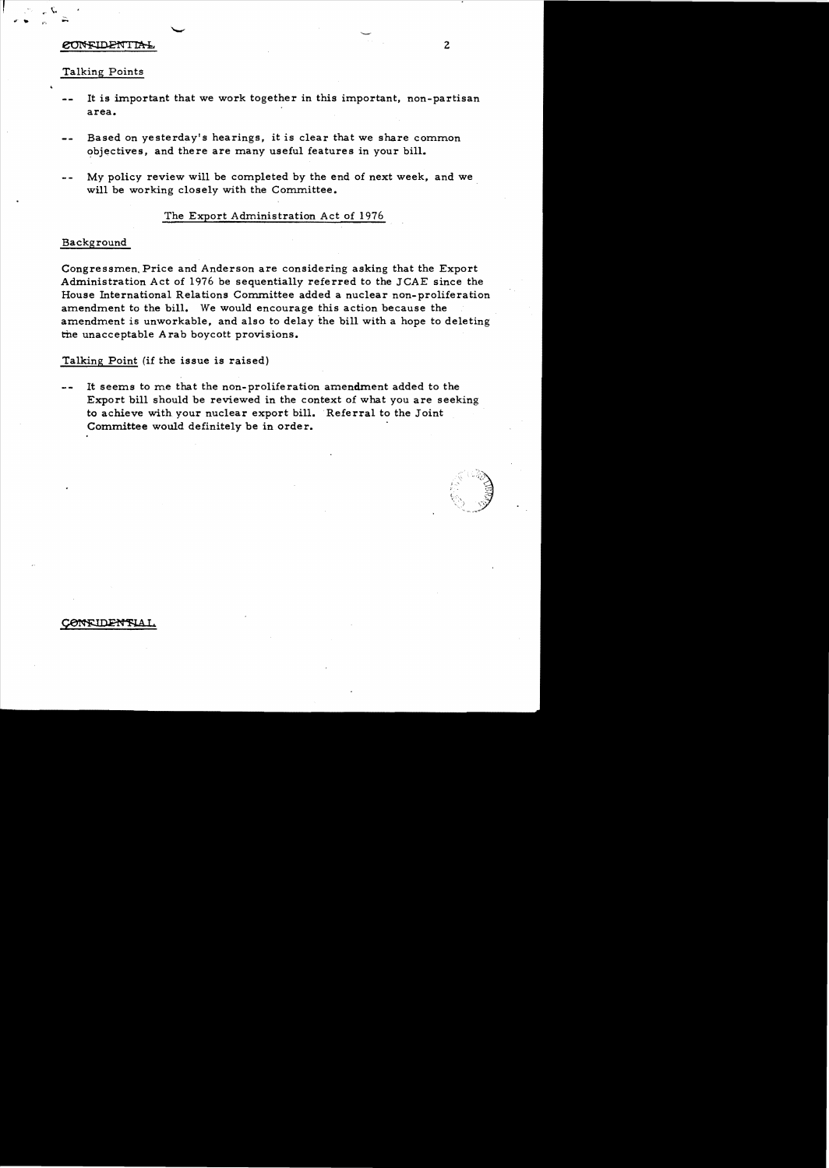#### CONFIDENTIAL

". "

#### Talking Points

- It is important that we work together in this important, non-partisan area.
- Based on yesterday's hearings, it is clear that we share common objectives, and there are many useful features in your bill.
- My policy review will be completed by the end of next week, and we will be working closely with the Committee.

#### The Export Administration Act of 1976

#### Background

Congressmen. Price and Anderson are considering asking that the Export Administration Act of 1976 be sequentially referred to the JCAE since the House International Relations Committee added a nuclear non-proliferation amendment to the bill. We would encourage this action because the amendment is unworkable, and also to delay the bill with a hope to deleting the unacceptable Arab boycott provisions.

Talking Point (if the issue is raised)

It seems to me that the non-proliferation amendment added to the Export bill should be reviewed in the context of what you are seeking to achieve with your nuclear export bill. Referral to the Joint Committee would definitely be in order.

#### ONFIDENTIAI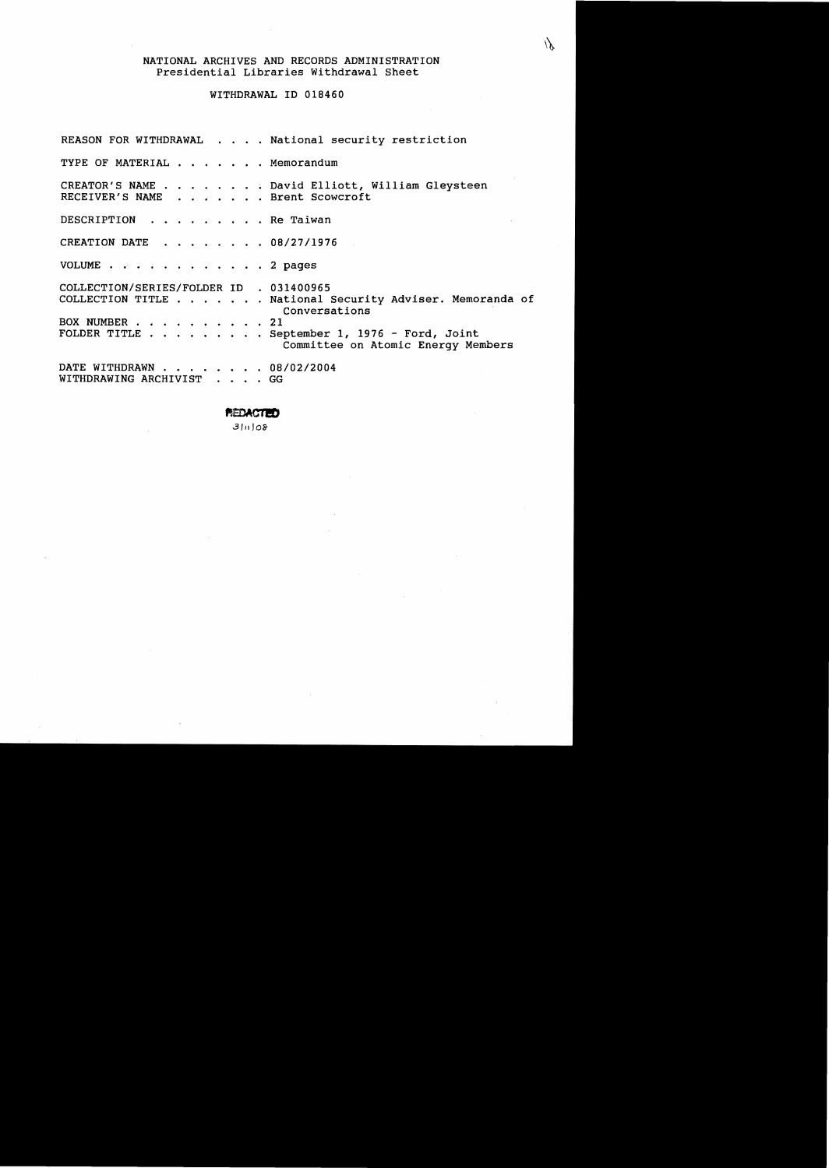## NATIONAL ARCHIVES AND RECORDS ADMINISTRATION Presidential Libraries Withdrawal Sheet

## WITHDRAWAL ID 018460

REASON FOR WITHDRAWAL . . . . National security restriction TYPE OF MATERIAL . . . . . . Memorandum CREATOR'S NAME . . . . . . . David Elliott, William Gleysteen CREATOR'S NAME . . . . . . . David Elliott, W<br>RECEIVER'S NAME . . . . . . Brent Scowcroft DESCRIPTION . . . . . . . . Re Taiwan CREATION DATE ... 08/27/1976 VOLUME . . . . . . . . . . . . 2 pages COLLECTION/SERIES/FOLDER ID . 031400965 COLLECTION TITLE . .... National Security Adviser. Memoranda of Conversations BOX NUMBER . . . . . . . . . . 21 FOLDER TITLE . . . . . . . . September 1, 1976 - Ford, Joint Committee on Atomic Energy Members DATE WITHDRAWN . . . . . . . 08/02/2004 WITHDRAWING ARCHIVIST . . GG

#### **REDACTED**

3111)0&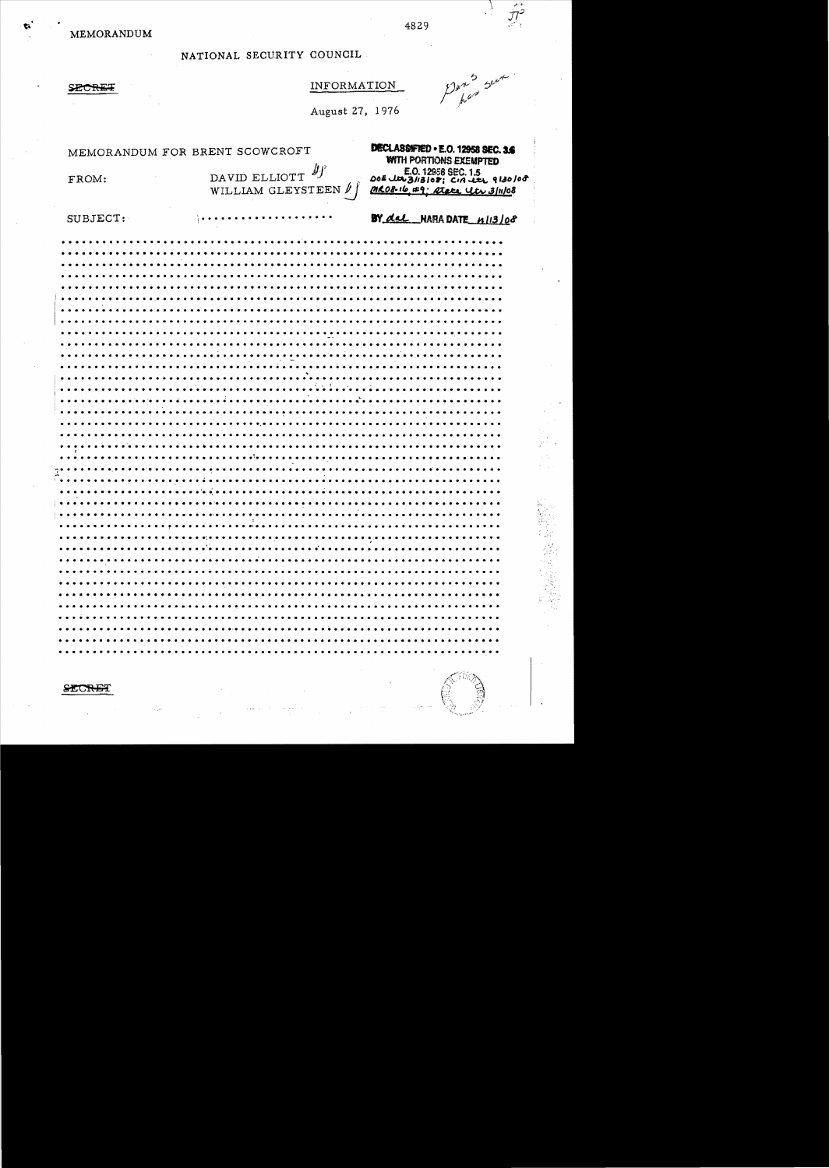MEMORANDUM

NATIONAL SECURITY COUNCIL

|                                |                                                     | INFORMATION     | Dan Sext                                                                                |
|--------------------------------|-----------------------------------------------------|-----------------|-----------------------------------------------------------------------------------------|
|                                |                                                     | August 27, 1976 |                                                                                         |
| MEMORANDUM FOR BRENT SCOWCROFT |                                                     |                 | DECLASS\FIED . E.O. 12958 SEC. 3.6<br>WITH PORTIONS EXEMPTED                            |
| FROM:                          | DAVID ELLIOTT $\oint f$<br>WILLIAM GLEYSTEEN $\ell$ |                 | E.O. 12958 SEC. 1.5<br>DOE Ut 3/13/08; CIA Utr 9130/08<br>MRO8-16 #9: etate Utr 3/11/08 |
| SUBJECT:                       |                                                     |                 | BY dal NARADATE 113/08                                                                  |
|                                |                                                     |                 |                                                                                         |
|                                |                                                     |                 |                                                                                         |
|                                |                                                     |                 |                                                                                         |
|                                |                                                     |                 |                                                                                         |
|                                |                                                     |                 |                                                                                         |
|                                |                                                     |                 |                                                                                         |
|                                |                                                     |                 |                                                                                         |
|                                |                                                     |                 |                                                                                         |
|                                |                                                     |                 |                                                                                         |
|                                |                                                     |                 |                                                                                         |
|                                |                                                     |                 |                                                                                         |
|                                |                                                     |                 |                                                                                         |
|                                |                                                     |                 |                                                                                         |
|                                |                                                     |                 |                                                                                         |
|                                |                                                     |                 |                                                                                         |
|                                |                                                     |                 |                                                                                         |
|                                |                                                     |                 |                                                                                         |
|                                |                                                     |                 |                                                                                         |
|                                |                                                     |                 |                                                                                         |
|                                |                                                     |                 |                                                                                         |
|                                |                                                     |                 |                                                                                         |
|                                |                                                     |                 |                                                                                         |
|                                |                                                     |                 |                                                                                         |
|                                |                                                     |                 |                                                                                         |
|                                |                                                     |                 |                                                                                         |
|                                |                                                     |                 |                                                                                         |
|                                |                                                     |                 |                                                                                         |
|                                |                                                     |                 |                                                                                         |
|                                |                                                     |                 |                                                                                         |
|                                |                                                     |                 |                                                                                         |
|                                |                                                     |                 |                                                                                         |
|                                |                                                     |                 |                                                                                         |
|                                |                                                     |                 |                                                                                         |

SECRET

4829

 $\overline{\mathcal{J}}$ 

(1)<br>「大学」<br>「大学」<br>「大学」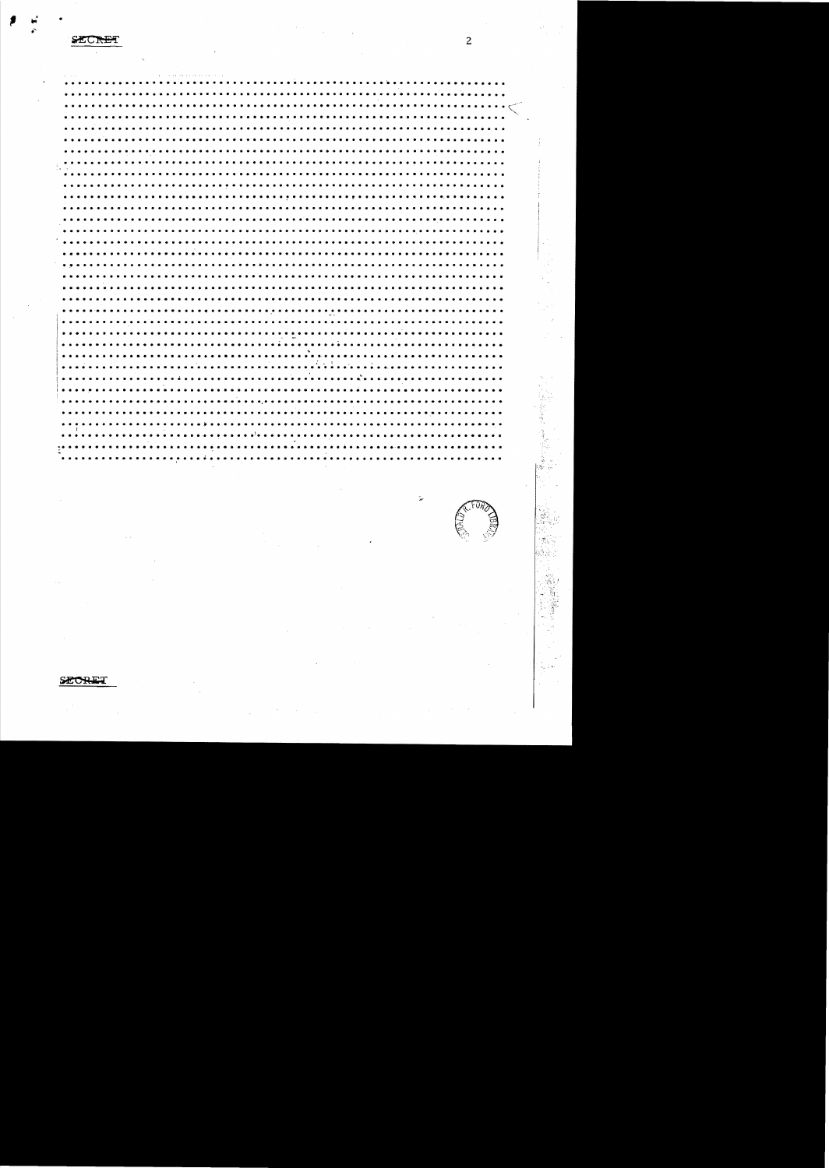| . |  |
|---|--|
|   |  |
|   |  |
|   |  |
|   |  |
|   |  |
|   |  |
|   |  |
|   |  |
|   |  |
|   |  |
|   |  |
|   |  |
|   |  |
|   |  |
|   |  |
|   |  |
|   |  |
|   |  |
|   |  |
|   |  |
|   |  |
|   |  |
|   |  |
|   |  |
|   |  |
|   |  |
|   |  |
|   |  |
|   |  |
|   |  |
|   |  |
|   |  |
|   |  |
|   |  |
|   |  |
|   |  |
|   |  |
|   |  |
|   |  |
|   |  |
|   |  |
|   |  |
|   |  |
|   |  |
|   |  |
|   |  |
|   |  |

 $\overline{2}$ 

 $\mathbf{w}_1$ 

غود.<br>ته

Ý.

 $\sigma$  .

T SЕ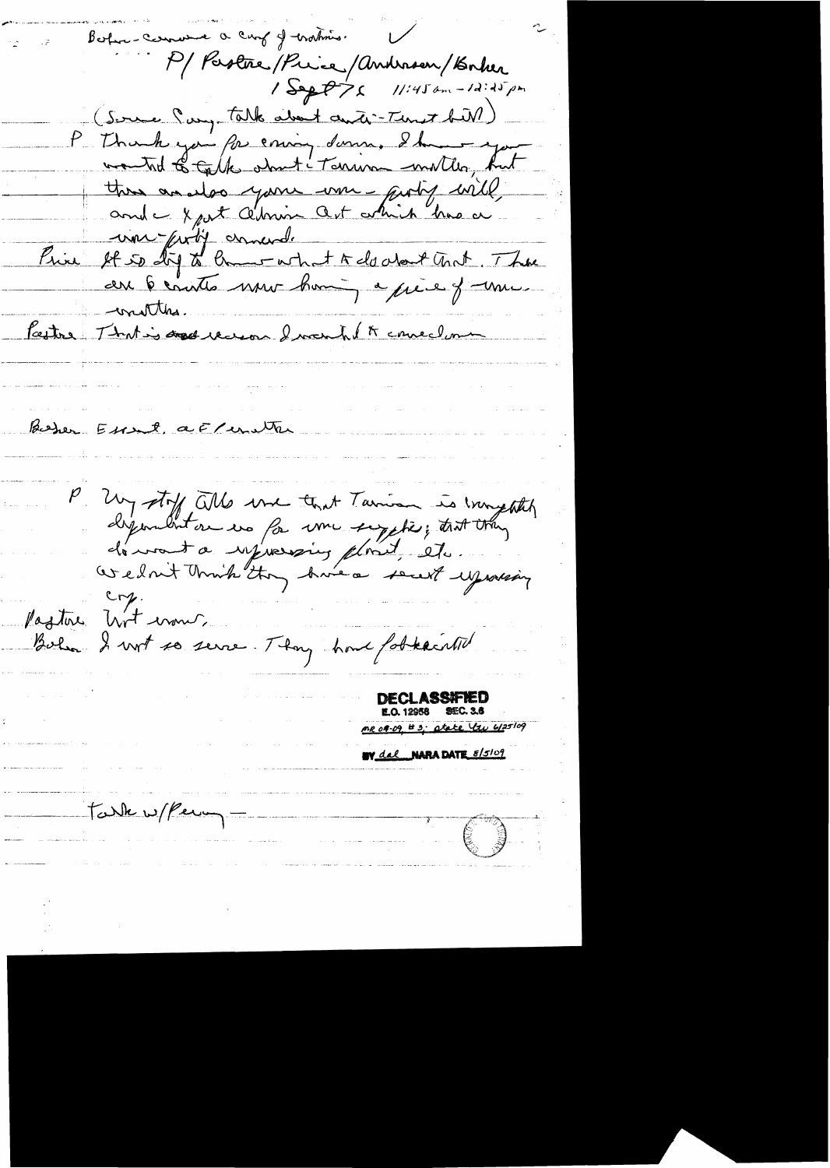Berlin comme a cinq juration. P/Pastire/Price/Androsen/Korker  $15972 111456m - 12715pn$ (Some Pary talk about anti-Territ hill) P Thank you for ening down, Ihm you then analog your une protis will au 6 courtes nous hommes après j'une - writters. Pastre That is good receiver I would to concelant Besher Essex a Elenatri P Un stoff alls une that Tarrian is very they<br>dependent on us for une signalis; that they<br>de want a requirement of the internation Pastire unt erour. Bolom I wit so serve. Thong have fobtainted **DECLASSIFIED** E.O. 12958 9EC. 3.6 MR 08-09 #3; ptate Van 6/25/09 W dal NARA DATE 8/5/09 Tark w/Perry -EJ.